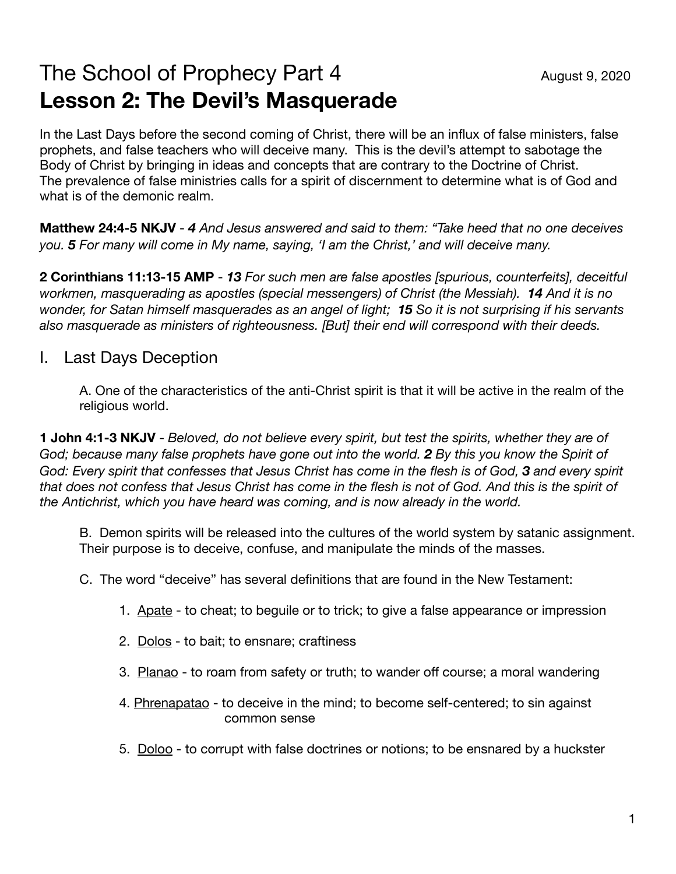## The School of Prophecy Part 4 August 9, 2020 **Lesson 2: The Devil's Masquerade**

In the Last Days before the second coming of Christ, there will be an influx of false ministers, false prophets, and false teachers who will deceive many. This is the devil's attempt to sabotage the Body of Christ by bringing in ideas and concepts that are contrary to the Doctrine of Christ. The prevalence of false ministries calls for a spirit of discernment to determine what is of God and what is of the demonic realm.

**Matthew 24:4-5 NKJV** - *4 And Jesus answered and said to them: "Take heed that no one deceives you. 5 For many will come in My name, saying, 'I am the Christ,' and will deceive many.*

**2 Corinthians 11:13-15 AMP** - *13 For such men are false apostles [spurious, counterfeits], deceitful workmen, masquerading as apostles (special messengers) of Christ (the Messiah).* **14** *And it is no wonder, for Satan himself masquerades as an angel of light; 15 So it is not surprising if his servants also masquerade as ministers of righteousness. [But] their end will correspond with their deeds.*

## I. Last Days Deception

A. One of the characteristics of the anti-Christ spirit is that it will be active in the realm of the religious world.

**1 John 4:1-3 NKJV** - *Beloved, do not believe every spirit, but test the spirits, whether they are of God; because many false prophets have gone out into the world. 2 By this you know the Spirit of God: Every spirit that confesses that Jesus Christ has come in the flesh is of God, 3 and every spirit that does not confess that Jesus Christ has come in the flesh is not of God. And this is the spirit of the Antichrist, which you have heard was coming, and is now already in the world.*

B. Demon spirits will be released into the cultures of the world system by satanic assignment. Their purpose is to deceive, confuse, and manipulate the minds of the masses.

C. The word "deceive" has several definitions that are found in the New Testament:

- 1. Apate to cheat; to beguile or to trick; to give a false appearance or impression
- 2. Dolos to bait; to ensnare; craftiness
- 3. Planao to roam from safety or truth; to wander off course; a moral wandering
- 4. Phrenapatao to deceive in the mind; to become self-centered; to sin against common sense
- 5. Doloo to corrupt with false doctrines or notions; to be ensnared by a huckster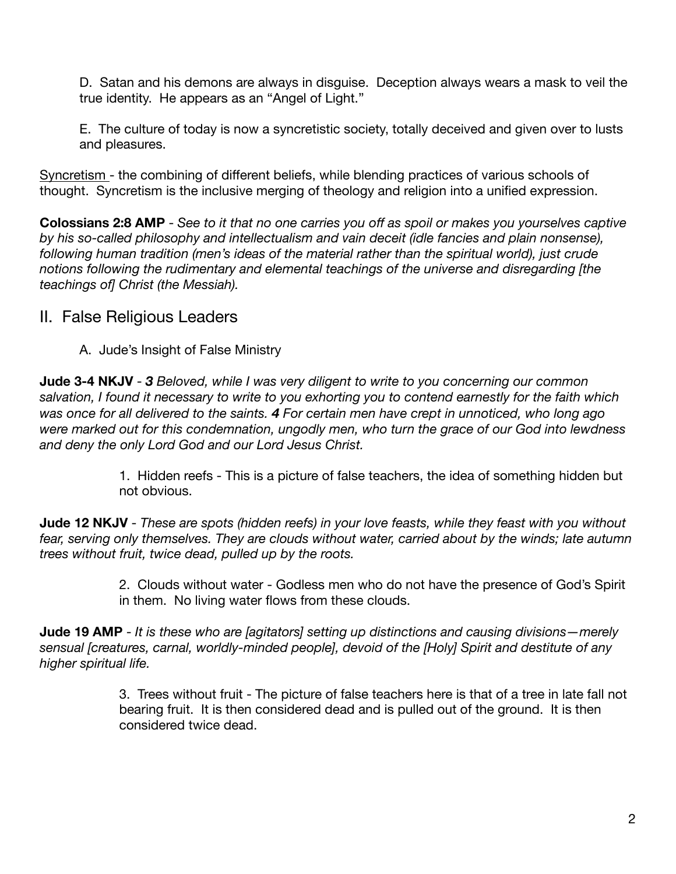D. Satan and his demons are always in disguise. Deception always wears a mask to veil the true identity. He appears as an "Angel of Light."

E. The culture of today is now a syncretistic society, totally deceived and given over to lusts and pleasures.

Syncretism - the combining of different beliefs, while blending practices of various schools of thought. Syncretism is the inclusive merging of theology and religion into a unified expression.

**Colossians 2:8 AMP** - *See to it that no one carries you off as spoil or makes you yourselves captive by his so-called philosophy and intellectualism and vain deceit (idle fancies and plain nonsense), following human tradition (men's ideas of the material rather than the spiritual world), just crude notions following the rudimentary and elemental teachings of the universe and disregarding [the teachings of] Christ (the Messiah).* 

## II. False Religious Leaders

A. Jude's Insight of False Ministry

**Jude 3-4 NKJV** - *3 Beloved, while I was very diligent to write to you concerning our common salvation, I found it necessary to write to you exhorting you to contend earnestly for the faith which was once for all delivered to the saints. 4 For certain men have crept in unnoticed, who long ago were marked out for this condemnation, ungodly men, who turn the grace of our God into lewdness and deny the only Lord God and our Lord Jesus Christ.*

> 1. Hidden reefs - This is a picture of false teachers, the idea of something hidden but not obvious.

**Jude 12 NKJV** - *These are spots (hidden reefs) in your love feasts, while they feast with you without fear, serving only themselves. They are clouds without water, carried about by the winds; late autumn trees without fruit, twice dead, pulled up by the roots.*

> 2. Clouds without water - Godless men who do not have the presence of God's Spirit in them. No living water flows from these clouds.

**Jude 19 AMP** - *It is these who are [agitators] setting up distinctions and causing divisions—merely sensual [creatures, carnal, worldly-minded people], devoid of the [Holy] Spirit and destitute of any higher spiritual life.*

> 3. Trees without fruit - The picture of false teachers here is that of a tree in late fall not bearing fruit. It is then considered dead and is pulled out of the ground. It is then considered twice dead.